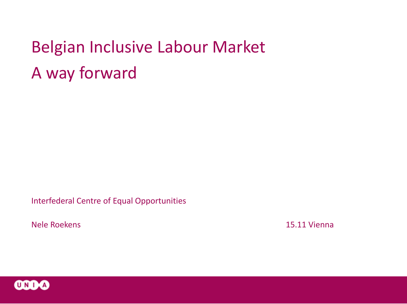# Belgian Inclusive Labour Market A way forward

Interfederal Centre of Equal Opportunities

Nele Roekens 15.11 Vienna

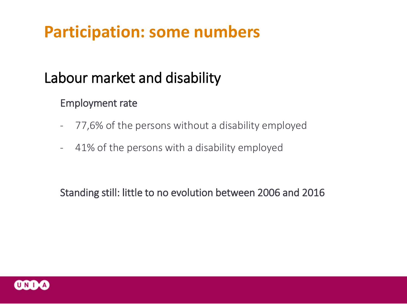## **Participation: some numbers**

## Labour market and disability

### Employment rate

- 77,6% of the persons without a disability employed
- 41% of the persons with a disability employed

Standing still: little to no evolution between 2006 and 2016

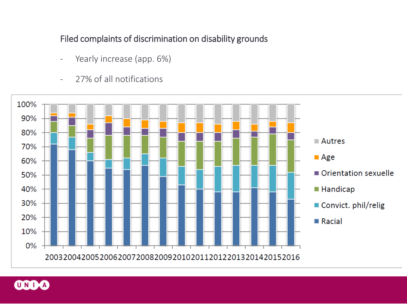#### Filed complaints of discrimination on disability grounds

- Yearly increase (app. 6%)
- 27% of all notifications



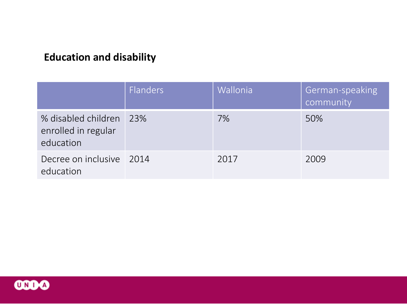### **Education and disability**

|                                                         | <b>Flanders</b> | <b>Wallonia</b> | German-speaking<br>community |
|---------------------------------------------------------|-----------------|-----------------|------------------------------|
| % disabled children<br>enrolled in regular<br>education | 23%             | 7%              | 50%                          |
| Decree on inclusive 2014<br>education                   |                 | 2017            | 2009                         |

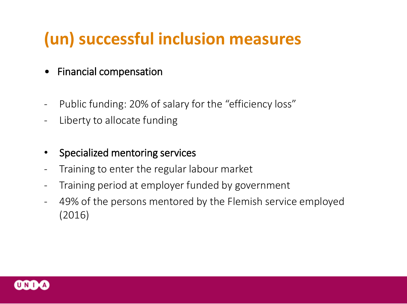## **(un) successful inclusion measures**

- Financial compensation
- Public funding: 20% of salary for the "efficiency loss"
- Liberty to allocate funding
- Specialized mentoring services
- Training to enter the regular labour market
- Training period at employer funded by government
- 49% of the persons mentored by the Flemish service employed (2016)

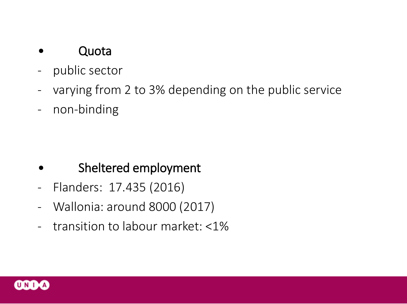### • Quota

- public sector
- varying from 2 to 3% depending on the public service
- non-binding

- Sheltered employment
- Flanders: 17.435 (2016)
- Wallonia: around 8000 (2017)
- transition to labour market: <1%

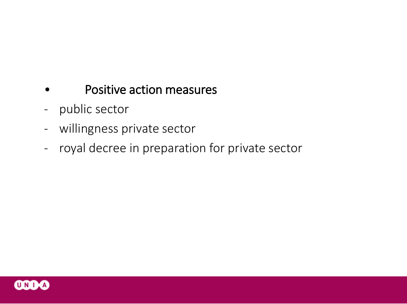- Positive action measures
- public sector
- willingness private sector
- royal decree in preparation for private sector

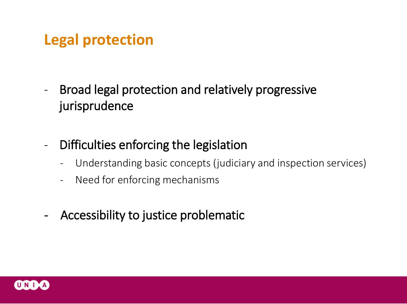## **Legal protection**

- Broad legal protection and relatively progressive jurisprudence
- Difficulties enforcing the legislation
	- Understanding basic concepts (judiciary and inspection services)
	- Need for enforcing mechanisms
- Accessibility to justice problematic

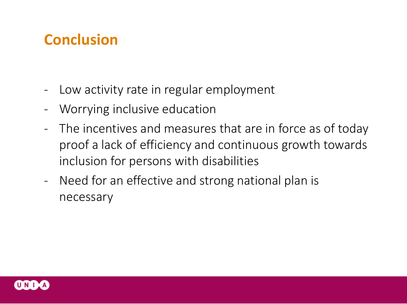## **Conclusion**

- Low activity rate in regular employment
- Worrying inclusive education
- The incentives and measures that are in force as of today proof a lack of efficiency and continuous growth towards inclusion for persons with disabilities
- Need for an effective and strong national plan is necessary